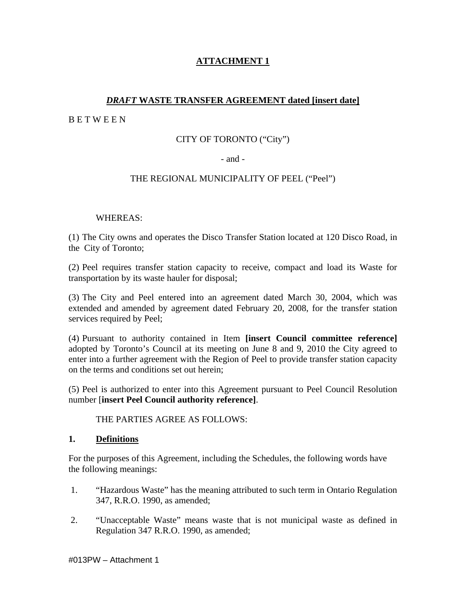# **ATTACHMENT 1**

# *DRAFT* **WASTE TRANSFER AGREEMENT dated [insert date]**

B E T W E E N

# CITY OF TORONTO ("City")

## - and -

## THE REGIONAL MUNICIPALITY OF PEEL ("Peel")

# WHEREAS:

(1) The City owns and operates the Disco Transfer Station located at 120 Disco Road, in the City of Toronto;

(2) Peel requires transfer station capacity to receive, compact and load its Waste for transportation by its waste hauler for disposal;

(3) The City and Peel entered into an agreement dated March 30, 2004, which was extended and amended by agreement dated February 20, 2008, for the transfer station services required by Peel;

(4) Pursuant to authority contained in Item **[insert Council committee reference]** adopted by Toronto's Council at its meeting on June 8 and 9, 2010 the City agreed to enter into a further agreement with the Region of Peel to provide transfer station capacity on the terms and conditions set out herein;

(5) Peel is authorized to enter into this Agreement pursuant to Peel Council Resolution number [**insert Peel Council authority reference]**.

THE PARTIES AGREE AS FOLLOWS:

#### **1. Definitions**

For the purposes of this Agreement, including the Schedules, the following words have the following meanings:

- 1. "Hazardous Waste" has the meaning attributed to such term in Ontario Regulation 347, R.R.O. 1990, as amended;
- 2. "Unacceptable Waste" means waste that is not municipal waste as defined in Regulation 347 R.R.O. 1990, as amended;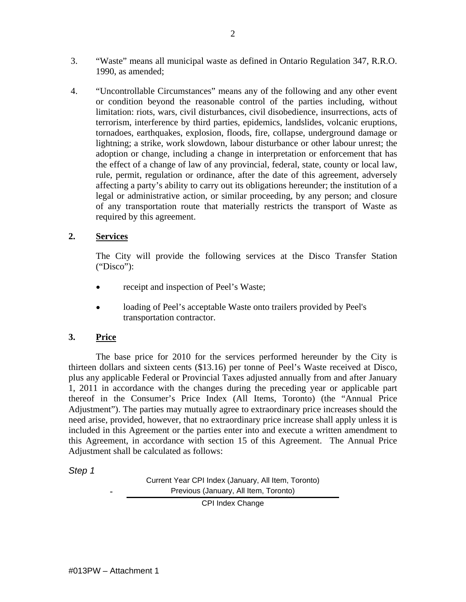- 3. "Waste" means all municipal waste as defined in Ontario Regulation 347, R.R.O. 1990, as amended;
- 4. "Uncontrollable Circumstances" means any of the following and any other event or condition beyond the reasonable control of the parties including, without limitation: riots, wars, civil disturbances, civil disobedience, insurrections, acts of terrorism, interference by third parties, epidemics, landslides, volcanic eruptions, tornadoes, earthquakes, explosion, floods, fire, collapse, underground damage or lightning; a strike, work slowdown, labour disturbance or other labour unrest; the adoption or change, including a change in interpretation or enforcement that has the effect of a change of law of any provincial, federal, state, county or local law, rule, permit, regulation or ordinance, after the date of this agreement, adversely affecting a party's ability to carry out its obligations hereunder; the institution of a legal or administrative action, or similar proceeding, by any person; and closure of any transportation route that materially restricts the transport of Waste as required by this agreement.

# **2. Services**

The City will provide the following services at the Disco Transfer Station ("Disco"):

- receipt and inspection of Peel's Waste;
- loading of Peel's acceptable Waste onto trailers provided by Peel's transportation contractor.

# **3. Price**

The base price for 2010 for the services performed hereunder by the City is thirteen dollars and sixteen cents (\$13.16) per tonne of Peel's Waste received at Disco, plus any applicable Federal or Provincial Taxes adjusted annually from and after January 1, 2011 in accordance with the changes during the preceding year or applicable part thereof in the Consumer's Price Index (All Items, Toronto) (the "Annual Price Adjustment"). The parties may mutually agree to extraordinary price increases should the need arise, provided, however, that no extraordinary price increase shall apply unless it is included in this Agreement or the parties enter into and execute a written amendment to this Agreement, in accordance with section 15 of this Agreement. The Annual Price Adjustment shall be calculated as follows:

Step 1

Current Year CPI Index (January, All Item, Toronto) Previous (January, All Item, Toronto)

CPI Index Change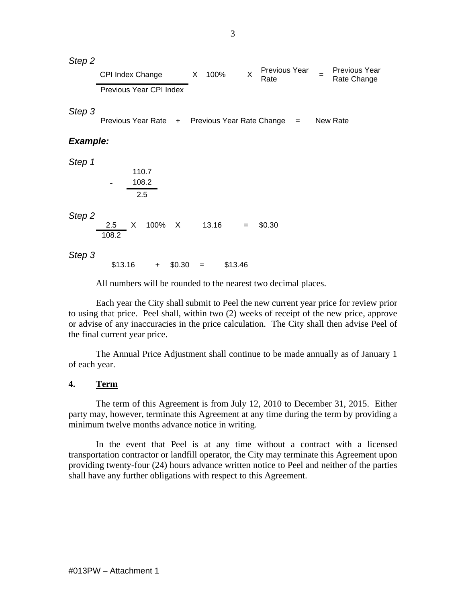All numbers will be rounded to the nearest two decimal places.

Each year the City shall submit to Peel the new current year price for review prior to using that price. Peel shall, within two (2) weeks of receipt of the new price, approve or advise of any inaccuracies in the price calculation. The City shall then advise Peel of the final current year price.

The Annual Price Adjustment shall continue to be made annually as of January 1 of each year.

#### **4. Term**

The term of this Agreement is from July 12, 2010 to December 31, 2015. Either party may, however, terminate this Agreement at any time during the term by providing a minimum twelve months advance notice in writing.

In the event that Peel is at any time without a contract with a licensed transportation contractor or landfill operator, the City may terminate this Agreement upon providing twenty-four (24) hours advance written notice to Peel and neither of the parties shall have any further obligations with respect to this Agreement.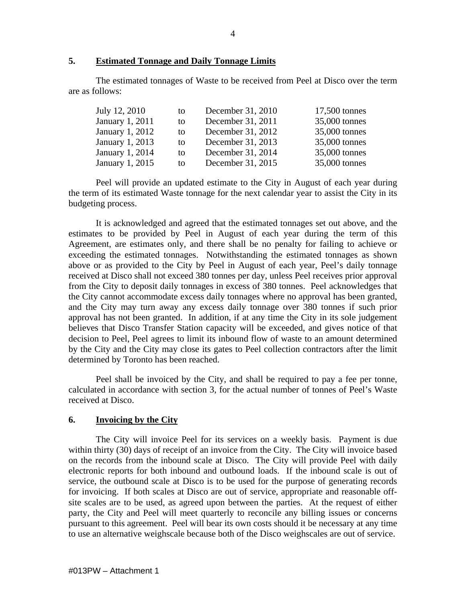## **5. Estimated Tonnage and Daily Tonnage Limits**

The estimated tonnages of Waste to be received from Peel at Disco over the term are as follows:

| July 12, 2010          | to | December 31, 2010 | 17,500 tonnes |  |
|------------------------|----|-------------------|---------------|--|
| January 1, 2011        |    | December 31, 2011 | 35,000 tonnes |  |
| <b>January 1, 2012</b> | to | December 31, 2012 | 35,000 tonnes |  |
| January 1, 2013        |    | December 31, 2013 | 35,000 tonnes |  |
| January 1, 2014        | to | December 31, 2014 | 35,000 tonnes |  |
| January 1, 2015        |    | December 31, 2015 | 35,000 tonnes |  |

Peel will provide an updated estimate to the City in August of each year during the term of its estimated Waste tonnage for the next calendar year to assist the City in its budgeting process.

It is acknowledged and agreed that the estimated tonnages set out above, and the estimates to be provided by Peel in August of each year during the term of this Agreement, are estimates only, and there shall be no penalty for failing to achieve or exceeding the estimated tonnages. Notwithstanding the estimated tonnages as shown above or as provided to the City by Peel in August of each year, Peel's daily tonnage received at Disco shall not exceed 380 tonnes per day, unless Peel receives prior approval from the City to deposit daily tonnages in excess of 380 tonnes. Peel acknowledges that the City cannot accommodate excess daily tonnages where no approval has been granted, and the City may turn away any excess daily tonnage over 380 tonnes if such prior approval has not been granted. In addition, if at any time the City in its sole judgement believes that Disco Transfer Station capacity will be exceeded, and gives notice of that decision to Peel, Peel agrees to limit its inbound flow of waste to an amount determined by the City and the City may close its gates to Peel collection contractors after the limit determined by Toronto has been reached.

Peel shall be invoiced by the City, and shall be required to pay a fee per tonne, calculated in accordance with section 3, for the actual number of tonnes of Peel's Waste received at Disco.

#### **6. Invoicing by the City**

The City will invoice Peel for its services on a weekly basis. Payment is due within thirty (30) days of receipt of an invoice from the City. The City will invoice based on the records from the inbound scale at Disco. The City will provide Peel with daily electronic reports for both inbound and outbound loads. If the inbound scale is out of service, the outbound scale at Disco is to be used for the purpose of generating records for invoicing. If both scales at Disco are out of service, appropriate and reasonable off site scales are to be used, as agreed upon between the parties. At the request of either party, the City and Peel will meet quarterly to reconcile any billing issues or concerns pursuant to this agreement. Peel will bear its own costs should it be necessary at any time to use an alternative weighscale because both of the Disco weighscales are out of service.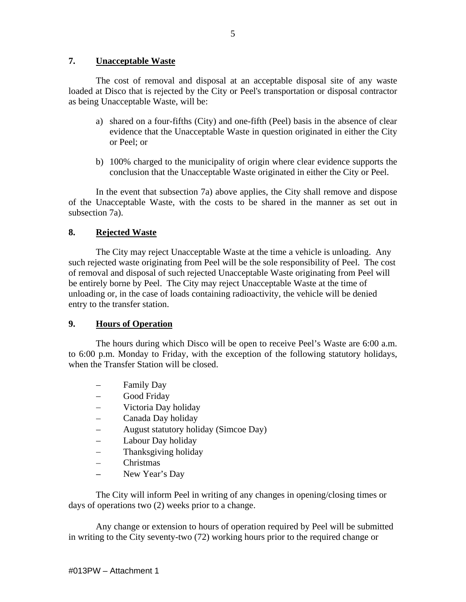## **7. Unacceptable Waste**

The cost of removal and disposal at an acceptable disposal site of any waste loaded at Disco that is rejected by the City or Peel's transportation or disposal contractor as being Unacceptable Waste, will be:

- a) shared on a four-fifths (City) and one-fifth (Peel) basis in the absence of clear evidence that the Unacceptable Waste in question originated in either the City or Peel; or
- b) 100% charged to the municipality of origin where clear evidence supports the conclusion that the Unacceptable Waste originated in either the City or Peel.

In the event that subsection 7a) above applies, the City shall remove and dispose of the Unacceptable Waste, with the costs to be shared in the manner as set out in subsection 7a).

## **8. Rejected Waste**

The City may reject Unacceptable Waste at the time a vehicle is unloading. Any such rejected waste originating from Peel will be the sole responsibility of Peel. The cost of removal and disposal of such rejected Unacceptable Waste originating from Peel will be entirely borne by Peel. The City may reject Unacceptable Waste at the time of unloading or, in the case of loads containing radioactivity, the vehicle will be denied entry to the transfer station.

# **9. Hours of Operation**

The hours during which Disco will be open to receive Peel's Waste are 6:00 a.m. to 6:00 p.m. Monday to Friday, with the exception of the following statutory holidays, when the Transfer Station will be closed.

- Family Day
- Good Friday  $\equiv$
- Victoria Day holiday  $\equiv$
- Canada Day holiday  $\equiv$
- August statutory holiday (Simcoe Day)
- Labour Day holiday  $\equiv$
- Thanksgiving holiday  $\overline{\phantom{0}}$
- $\equiv$ Christmas
- New Year's Day

The City will inform Peel in writing of any changes in opening/closing times or days of operations two (2) weeks prior to a change.

Any change or extension to hours of operation required by Peel will be submitted in writing to the City seventy-two (72) working hours prior to the required change or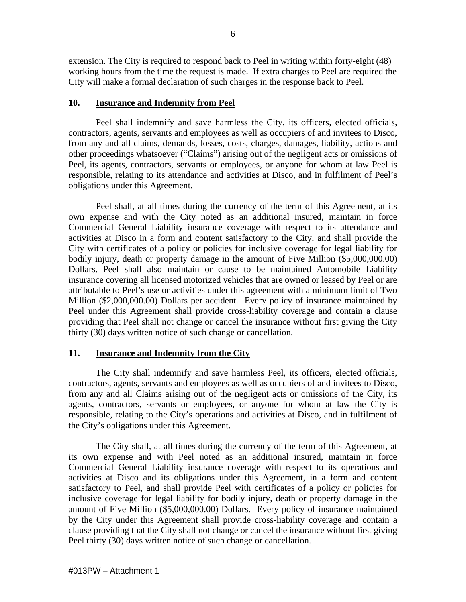extension. The City is required to respond back to Peel in writing within forty-eight (48) working hours from the time the request is made. If extra charges to Peel are required the City will make a formal declaration of such charges in the response back to Peel.

#### **10. Insurance and Indemnity from Peel**

Peel shall indemnify and save harmless the City, its officers, elected officials, contractors, agents, servants and employees as well as occupiers of and invitees to Disco, from any and all claims, demands, losses, costs, charges, damages, liability, actions and other proceedings whatsoever ("Claims") arising out of the negligent acts or omissions of Peel, its agents, contractors, servants or employees, or anyone for whom at law Peel is responsible, relating to its attendance and activities at Disco, and in fulfilment of Peel's obligations under this Agreement.

Peel shall, at all times during the currency of the term of this Agreement, at its own expense and with the City noted as an additional insured, maintain in force Commercial General Liability insurance coverage with respect to its attendance and activities at Disco in a form and content satisfactory to the City, and shall provide the City with certificates of a policy or policies for inclusive coverage for legal liability for bodily injury, death or property damage in the amount of Five Million (\$5,000,000.00) Dollars. Peel shall also maintain or cause to be maintained Automobile Liability insurance covering all licensed motorized vehicles that are owned or leased by Peel or are attributable to Peel's use or activities under this agreement with a minimum limit of Two Million (\$2,000,000.00) Dollars per accident. Every policy of insurance maintained by Peel under this Agreement shall provide cross-liability coverage and contain a clause providing that Peel shall not change or cancel the insurance without first giving the City thirty (30) days written notice of such change or cancellation.

## **11. Insurance and Indemnity from the City**

The City shall indemnify and save harmless Peel, its officers, elected officials, contractors, agents, servants and employees as well as occupiers of and invitees to Disco, from any and all Claims arising out of the negligent acts or omissions of the City, its agents, contractors, servants or employees, or anyone for whom atlaw the City is responsible, relating to the City's operations and activities at Disco, and in fulfilment of the City's obligations under this Agreement.

The City shall, at all times during the currency of the term of this Agreement, at its own expense and with Peel noted as an additional insured, maintain in force Commercial General Liability insurance coverage with respect to its operations and activities at Disco and its obligations under this Agreement, in a form and content satisfactory to Peel, and shall provide Peel with certificates of a policy or policies for inclusive coverage for legal liability for bodily injury, death or property damage in the amount of Five Million (\$5,000,000.00) Dollars. Every policy of insurance maintained by the City under this Agreement shall provide cross-liability coverage and contain a clause providing that the City shall not change or cancel the insurance without first giving Peel thirty (30) days written notice of such change or cancellation.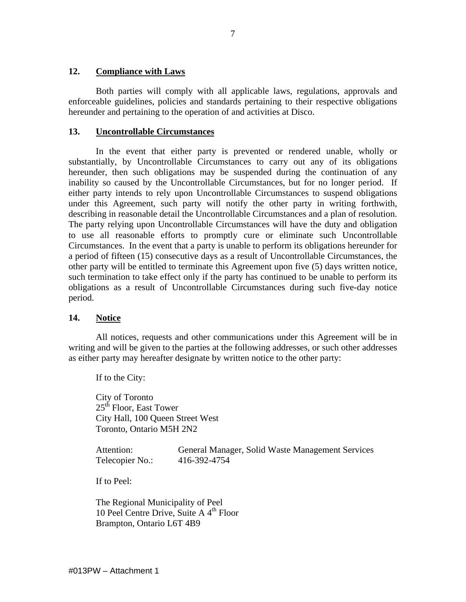#### **12. Compliance with Laws**

Both parties will comply with all applicable laws, regulations, approvals and enforceable guidelines, policies and standards pertaining to their respective obligations hereunder and pertaining to the operation of and activities at Disco.

## **13. Uncontrollable Circumstances**

In the event that either party is prevented or rendered unable, wholly or substantially, by Uncontrollable Circumstances to carry out any of its obligations hereunder, then such obligations may be suspended during the continuation of any inability so caused by the Uncontrollable Circumstances, but for no longer period. If either party intends to rely upon Uncontrollable Circumstances to suspend obligations under this Agreement, such party will notify the other party in writing forthwith, describing in reasonable detail the Uncontrollable Circumstances and a plan of resolution. The party relying upon Uncontrollable Circumstances will have the duty and obligation to use all reasonable efforts to promptly cure or eliminate such Uncontrollable Circumstances. In the event that a party is unable to perform its obligations hereunder for a period of fifteen (15) consecutive days as a result of Uncontrollable Circumstances, the other party will be entitled to terminate this Agreement upon five (5) days written notice, such termination to take effect only if the party has continued to be unable to perform its obligations as a result of Uncontrollable Circumstances during such five-day notice period.

## **14. Notice**

All notices, requests and other communications under this Agreement will be in writing and will be given to the parties at the following addresses, or such other addresses as either party may hereafter designate by written notice to the other party:

If to the City:

City of Toronto<br>25<sup>th</sup> Floor. East Tower  $25<sup>th</sup>$  Floor, East Tower City Hall, 100 Queen Street West Toronto, Ontario M5H 2N2

Attention: General Manager, Solid Waste Management Services Telecopier No.: 416-392-4754

If to Peel:

The Regional Municipality of Peel 10 Peel Centre Drive, Suite A  $4<sup>th</sup>$  Floor Brampton, Ontario L6T 4B9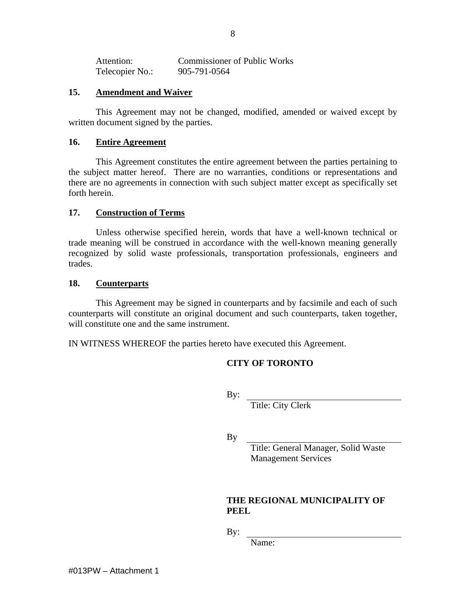| Attention:      | <b>Commissioner of Public Works</b> |
|-----------------|-------------------------------------|
|                 |                                     |
| Telecopier No.: | 905-791-0564                        |

#### **15. Amendment and Waiver**

This Agreement may not be changed, modified, amended or waived except by written document signed by the parties.

#### **16. Entire Agreement**

This Agreement constitutes the entire agreement between the parties pertaining to the subject matter hereof. There are no warranties, conditions or representations and there are no agreements in connection with such subject matter except as specifically set forth herein.

#### **17. Construction of Terms**

Unless otherwise specified herein, words that have a well-known technical or trade meaning will be construed in accordance with the well-known meaning generally recognized by solid waste professionals, transportation professionals, engineers and trades.

#### **18. Counterparts**

This Agreement may be signed in counterparts and by facsimile and each of such counterparts will constitute an original document and such counterparts, taken together, will constitute one and the same instrument.

IN WITNESS WHEREOF the parties hereto have executed this Agreement.

## **CITY OF TORONTO**

By:  $\blacksquare$ 

Title: City Clerk

By

Title: General Manager, Solid Waste Management Services

## **THE REGIONAL MUNICIPALITY OF PEEL**

By:  $\blacksquare$ 

Name: